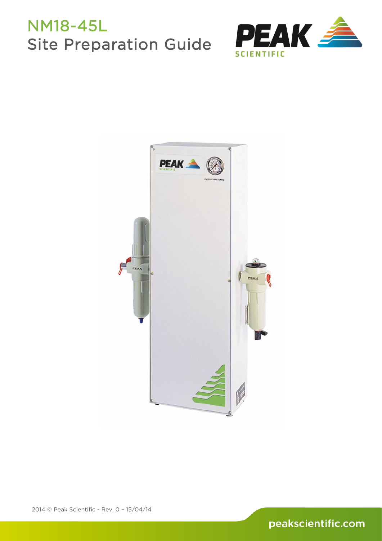# NM18-45L Site Preparation Guide



<span id="page-0-0"></span>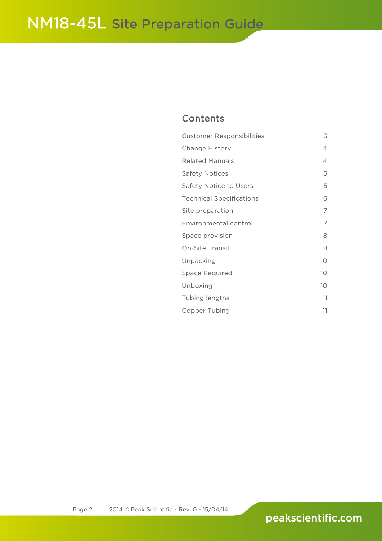## **Contents**

| <b>Customer Responsibilities</b> | 3               |
|----------------------------------|-----------------|
| Change History                   | 4               |
| <b>Related Manuals</b>           | 4               |
| <b>Safety Notices</b>            | 5               |
| Safety Notice to Users           | 5               |
| <b>Technical Specifications</b>  | 6               |
| Site preparation                 | 7               |
| Environmental control            | 7               |
| Space provision                  | 8               |
| <b>On-Site Transit</b>           | 9               |
| Unpacking                        | 10 <sup>°</sup> |
| <b>Space Required</b>            | 10 <sup>°</sup> |
| Unboxing                         | 10 <sup>°</sup> |
| Tubing lengths                   | 11              |
| Copper Tubing                    | 11              |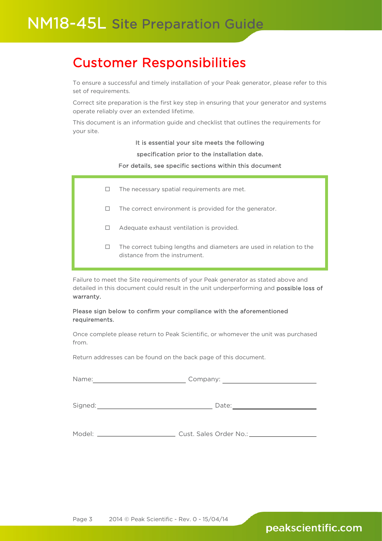Ī

## <span id="page-2-0"></span>Customer Responsibilities

To ensure a successful and timely installation of your Peak generator, please refer to this set of requirements.

Correct site preparation is the first key step in ensuring that your generator and systems operate reliably over an extended lifetime.

This document is an information guide and checklist that outlines the requirements for your site.

### It is essential your site meets the following

### specification prior to the installation date.

### For details, see specific sections within this document

- $\Box$  The necessary spatial requirements are met.
- $\Box$  The correct environment is provided for the generator.
- □ Adequate exhaust ventilation is provided.
- $\Box$  The correct tubing lengths and diameters are used in relation to the distance from the instrument.

Failure to meet the Site requirements of your Peak generator as stated above and detailed in this document could result in the unit underperforming and possible loss of warranty.

### Please sign below to confirm your compliance with the aforementioned requirements.

Once complete please return to Peak Scientific, or whomever the unit was purchased from.

Return addresses can be found on the back page of this document.

| Name:   |                                     | Company: The Company of the Company of the Company of the Company of the Company of the Company of the Company |  |
|---------|-------------------------------------|----------------------------------------------------------------------------------------------------------------|--|
| Signed: | Date:                               |                                                                                                                |  |
|         | Cust. Sales Order No.: ____________ |                                                                                                                |  |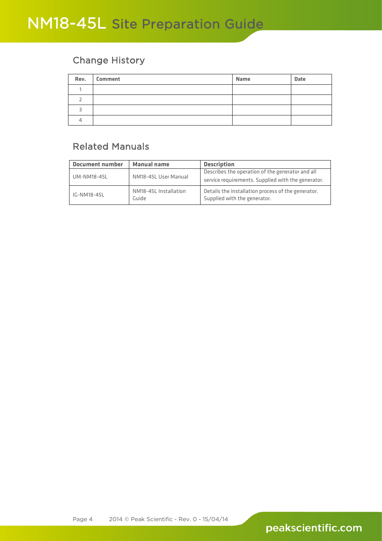### <span id="page-3-0"></span>Change History

| Rev. | <b>Comment</b> | <b>Name</b> | <b>Date</b> |
|------|----------------|-------------|-------------|
|      |                |             |             |
|      |                |             |             |
|      |                |             |             |
|      |                |             |             |

## <span id="page-3-1"></span>Related Manuals

| <b>Document number</b>              | <b>Manual name</b>                                 | <b>Description</b>                                                                 |
|-------------------------------------|----------------------------------------------------|------------------------------------------------------------------------------------|
|                                     |                                                    | Describes the operation of the generator and all                                   |
| NM18-45L User Manual<br>UM-NM18-45L | service requirements. Supplied with the generator. |                                                                                    |
| IG-NM18-45L                         | NM18-45L Installation<br>Guide                     | Details the installation process of the generator.<br>Supplied with the generator. |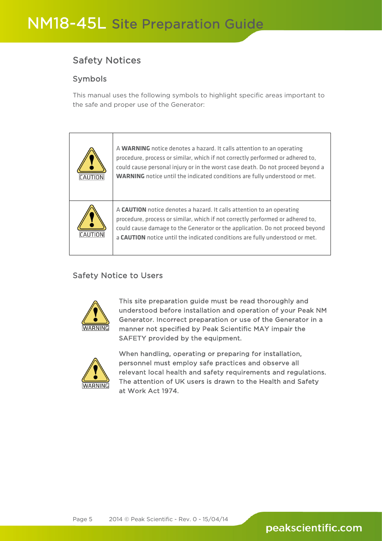## <span id="page-4-0"></span>Safety Notices

### Symbols

This manual uses the following symbols to highlight specific areas important to the safe and proper use of the Generator:

| ICAUTION | A WARNING notice denotes a hazard. It calls attention to an operating<br>procedure, process or similar, which if not correctly performed or adhered to,<br>could cause personal injury or in the worst case death. Do not proceed beyond a<br><b>WARNING</b> notice until the indicated conditions are fully understood or met. |
|----------|---------------------------------------------------------------------------------------------------------------------------------------------------------------------------------------------------------------------------------------------------------------------------------------------------------------------------------|
|          | A CAUTION notice denotes a hazard. It calls attention to an operating<br>procedure, process or similar, which if not correctly performed or adhered to,<br>could cause damage to the Generator or the application. Do not proceed beyond<br>a CAUTION notice until the indicated conditions are fully understood or met.        |

### <span id="page-4-1"></span>Safety Notice to Users



This site preparation guide must be read thoroughly and understood before installation and operation of your Peak NM Generator. Incorrect preparation or use of the Generator in a manner not specified by Peak Scientific MAY impair the SAFETY provided by the equipment.



When handling, operating or preparing for installation, personnel must employ safe practices and observe all relevant local health and safety requirements and regulations. The attention of UK users is drawn to the Health and Safety at Work Act 1974.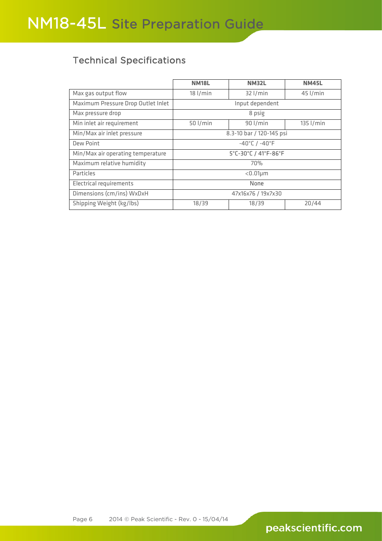## <span id="page-5-0"></span>Technical Specifications

|                                    | <b>NM18L</b>                      | <b>NM32L</b> | <b>NM45L</b> |
|------------------------------------|-----------------------------------|--------------|--------------|
| Max gas output flow                | $18$ l/min                        | $32$ l/min   | $45$ $I/min$ |
| Maximum Pressure Drop Outlet Inlet | Input dependent                   |              |              |
| Max pressure drop                  | 8 psig                            |              |              |
| Min inlet air requirement          | 50 l/min                          | $90$ l/min   | $135$ l/min  |
| Min/Max air inlet pressure         | 8.3-10 bar / 120-145 psi          |              |              |
| Dew Point                          | $-40^{\circ}$ C / $-40^{\circ}$ F |              |              |
| Min/Max air operating temperature  | 5°C-30°C / 41°F-86°F              |              |              |
| Maximum relative humidity          | 70%                               |              |              |
| Particles                          | $< 0.01 \mu m$                    |              |              |
| <b>Electrical requirements</b>     | None                              |              |              |
| Dimensions (cm/ins) WxDxH          | 47x16x76 / 19x7x30                |              |              |
| Shipping Weight (kg/lbs)           | 18/39                             | 18/39        | 20/44        |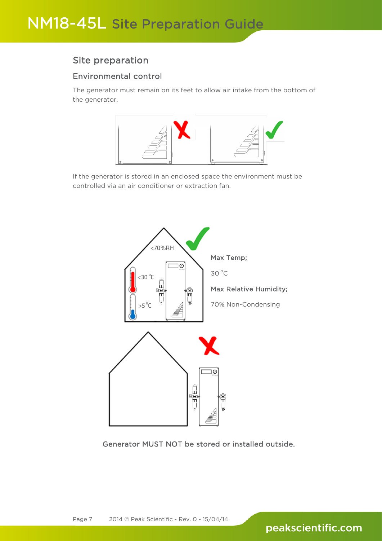### <span id="page-6-0"></span>Site preparation

### <span id="page-6-1"></span>Environmental control

The generator must remain on its feet to allow air intake from the bottom of the generator.



If the generator is stored in an enclosed space the environment must be controlled via an air conditioner or extraction fan.



Generator MUST NOT be stored or installed outside.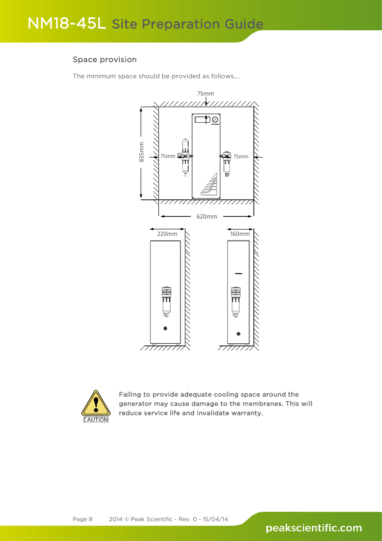### <span id="page-7-0"></span>Space provision

The minimum space should be provided as follows....





Failing to provide adequate cooling space around the generator may cause damage to the membranes. This will reduce service life and invalidate warranty.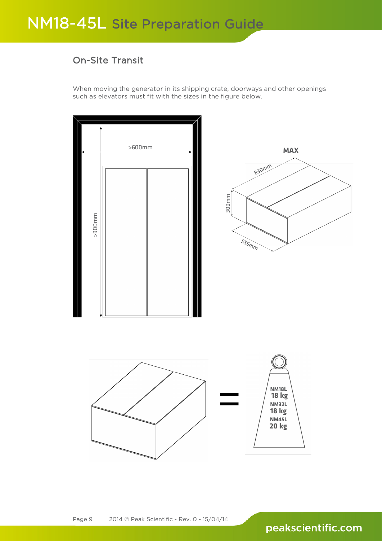## <span id="page-8-0"></span>On-Site Transit

When moving the generator in its shipping crate, doorways and other openings such as elevators must fit with the sizes in the figure below.

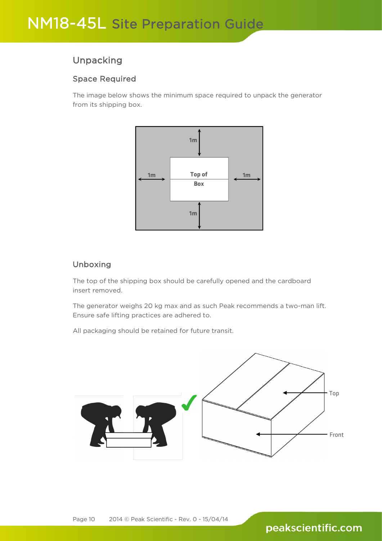### <span id="page-9-0"></span>Unpacking

### <span id="page-9-1"></span>Space Required

The image below shows the minimum space required to unpack the generator from its shipping box.



### <span id="page-9-2"></span>Unboxing

The top of the shipping box should be carefully opened and the cardboard insert removed.

The generator weighs 20 kg max and as such Peak recommends a two-man lift. Ensure safe lifting practices are adhered to.

All packaging should be retained for future transit.

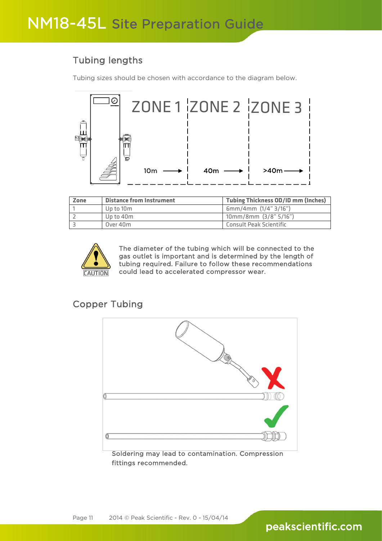## <span id="page-10-0"></span>Tubing lengths

Tubing sizes should be chosen with accordance to the diagram below.



| Zone | <b>Distance from Instrument</b> | <b>Tubing Thickness OD/ID mm (Inches)</b> |
|------|---------------------------------|-------------------------------------------|
|      | Up to 10m                       | 6mm/4mm (1/4" 3/16")                      |
|      | Up to 40m                       | $10mm/8mm$ (3/8" 5/16")                   |
|      | Over 40m                        | Consult Peak Scientific                   |



The diameter of the tubing which will be connected to the gas outlet is important and is determined by the length of tubing required. Failure to follow these recommendations could lead to accelerated compressor wear.

## <span id="page-10-1"></span>Copper Tubing